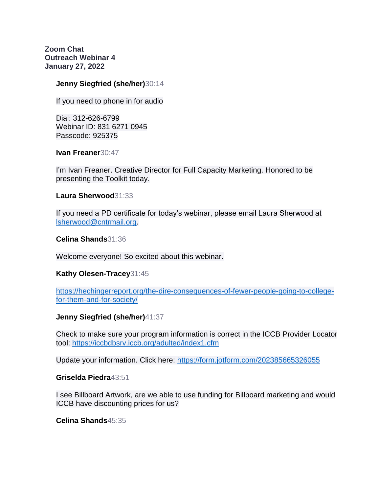**Zoom Chat Outreach Webinar 4 January 27, 2022**

### **Jenny Siegfried (she/her)**30:14

If you need to phone in for audio

Dial: 312-626-6799 Webinar ID: 831 6271 0945 Passcode: 925375

**Ivan Freaner**30:47

I'm Ivan Freaner. Creative Director for Full Capacity Marketing. Honored to be presenting the Toolkit today.

**Laura Sherwood**31:33

If you need a PD certificate for today's webinar, please email Laura Sherwood at [lsherwood@cntrmail.org.](mailto:lsherwood@cntrmail.org)

**Celina Shands**31:36

Welcome everyone! So excited about this webinar.

#### **Kathy Olesen-Tracey**31:45

[https://hechingerreport.org/the-dire-consequences-of-fewer-people-going-to-college](https://hechingerreport.org/the-dire-consequences-of-fewer-people-going-to-college-for-them-and-for-society/)[for-them-and-for-society/](https://hechingerreport.org/the-dire-consequences-of-fewer-people-going-to-college-for-them-and-for-society/)

#### **Jenny Siegfried (she/her)**41:37

Check to make sure your program information is correct in the ICCB Provider Locator tool:<https://iccbdbsrv.iccb.org/adulted/index1.cfm>

Update your information. Click here:<https://form.jotform.com/202385665326055>

#### **Griselda Piedra**43:51

I see Billboard Artwork, are we able to use funding for Billboard marketing and would ICCB have discounting prices for us?

**Celina Shands**45:35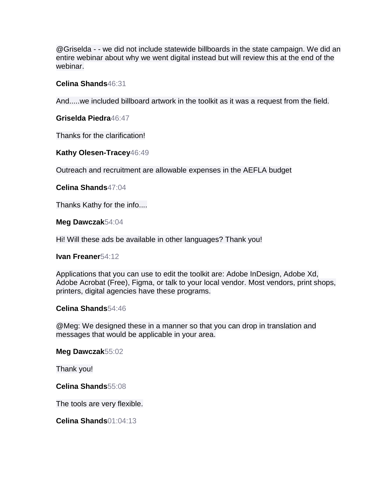@Griselda - - we did not include statewide billboards in the state campaign. We did an entire webinar about why we went digital instead but will review this at the end of the webinar.

## **Celina Shands**46:31

And.....we included billboard artwork in the toolkit as it was a request from the field.

**Griselda Piedra**46:47

Thanks for the clarification!

## **Kathy Olesen-Tracey**46:49

Outreach and recruitment are allowable expenses in the AEFLA budget

**Celina Shands**47:04

Thanks Kathy for the info....

**Meg Dawczak**54:04

Hi! Will these ads be available in other languages? Thank you!

**Ivan Freaner**54:12

Applications that you can use to edit the toolkit are: Adobe InDesign, Adobe Xd, Adobe Acrobat (Free), Figma, or talk to your local vendor. Most vendors, print shops, printers, digital agencies have these programs.

#### **Celina Shands**54:46

@Meg: We designed these in a manner so that you can drop in translation and messages that would be applicable in your area.

**Meg Dawczak**55:02

Thank you!

**Celina Shands**55:08

The tools are very flexible.

**Celina Shands**01:04:13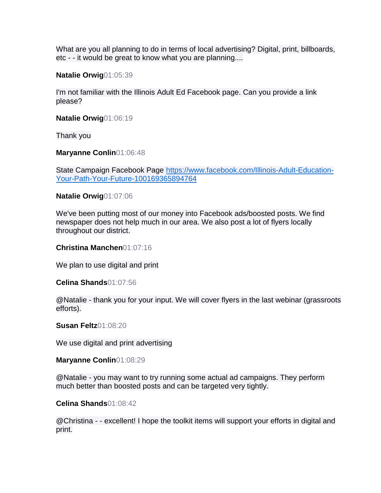What are you all planning to do in terms of local advertising? Digital, print, billboards, etc - - it would be great to know what you are planning....

**Natalie Orwig**01:05:39

I'm not familiar with the Illinois Adult Ed Facebook page. Can you provide a link please?

**Natalie Orwig**01:06:19

Thank you

**Maryanne Conlin**01:06:48

State Campaign Facebook Page [https://www.facebook.com/Illinois-Adult-Education-](https://www.facebook.com/Illinois-Adult-Education-Your-Path-Your-Future-100169365894764)[Your-Path-Your-Future-100169365894764](https://www.facebook.com/Illinois-Adult-Education-Your-Path-Your-Future-100169365894764)

**Natalie Orwig**01:07:06

We've been putting most of our money into Facebook ads/boosted posts. We find newspaper does not help much in our area. We also post a lot of flyers locally throughout our district.

#### **Christina Manchen**01:07:16

We plan to use digital and print

#### **Celina Shands**01:07:56

@Natalie - thank you for your input. We will cover flyers in the last webinar (grassroots efforts).

**Susan Feltz**01:08:20

We use digital and print advertising

**Maryanne Conlin**01:08:29

@Natalie - you may want to try running some actual ad campaigns. They perform much better than boosted posts and can be targeted very tightly.

#### **Celina Shands**01:08:42

@Christina - - excellent! I hope the toolkit items will support your efforts in digital and print.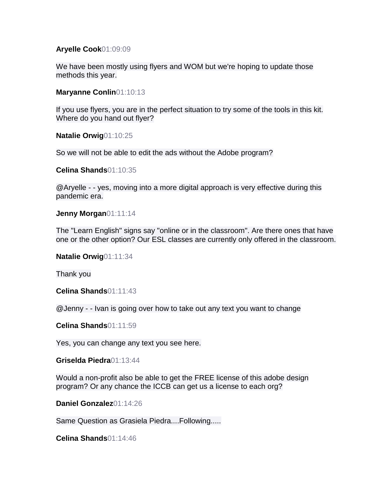#### **Aryelle Cook**01:09:09

We have been mostly using flyers and WOM but we're hoping to update those methods this year.

**Maryanne Conlin**01:10:13

If you use flyers, you are in the perfect situation to try some of the tools in this kit. Where do you hand out flyer?

**Natalie Orwig**01:10:25

So we will not be able to edit the ads without the Adobe program?

**Celina Shands**01:10:35

@Aryelle - - yes, moving into a more digital approach is very effective during this pandemic era.

**Jenny Morgan**01:11:14

The "Learn English" signs say "online or in the classroom". Are there ones that have one or the other option? Our ESL classes are currently only offered in the classroom.

**Natalie Orwig**01:11:34

Thank you

**Celina Shands**01:11:43

@Jenny - - Ivan is going over how to take out any text you want to change

**Celina Shands**01:11:59

Yes, you can change any text you see here.

**Griselda Piedra**01:13:44

Would a non-profit also be able to get the FREE license of this adobe design program? Or any chance the ICCB can get us a license to each org?

**Daniel Gonzalez**01:14:26

Same Question as Grasiela Piedra....Following.....

**Celina Shands**01:14:46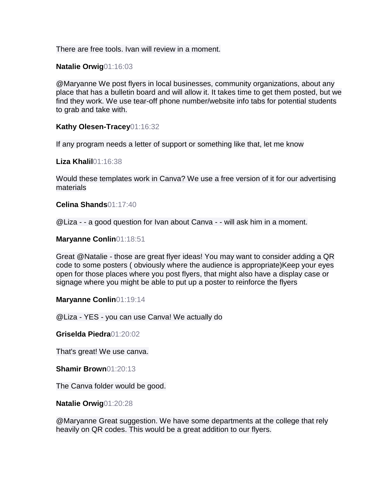There are free tools. Ivan will review in a moment.

**Natalie Orwig**01:16:03

@Maryanne We post flyers in local businesses, community organizations, about any place that has a bulletin board and will allow it. It takes time to get them posted, but we find they work. We use tear-off phone number/website info tabs for potential students to grab and take with.

**Kathy Olesen-Tracey**01:16:32

If any program needs a letter of support or something like that, let me know

**Liza Khalil**01:16:38

Would these templates work in Canva? We use a free version of it for our advertising materials

**Celina Shands**01:17:40

@Liza - - a good question for Ivan about Canva - - will ask him in a moment.

**Maryanne Conlin**01:18:51

Great @Natalie - those are great flyer ideas! You may want to consider adding a QR code to some posters ( obviously where the audience is appropriate)Keep your eyes open for those places where you post flyers, that might also have a display case or signage where you might be able to put up a poster to reinforce the flyers

**Maryanne Conlin**01:19:14

@Liza - YES - you can use Canva! We actually do

**Griselda Piedra**01:20:02

That's great! We use canva.

**Shamir Brown**01:20:13

The Canva folder would be good.

**Natalie Orwig**01:20:28

@Maryanne Great suggestion. We have some departments at the college that rely heavily on QR codes. This would be a great addition to our flyers.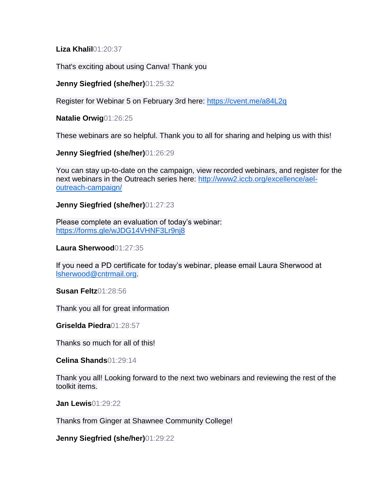**Liza Khalil**01:20:37

That's exciting about using Canva! Thank you

# **Jenny Siegfried (she/her)**01:25:32

Register for Webinar 5 on February 3rd here:<https://cvent.me/a84L2q>

**Natalie Orwig**01:26:25

These webinars are so helpful. Thank you to all for sharing and helping us with this!

**Jenny Siegfried (she/her)**01:26:29

You can stay up-to-date on the campaign, view recorded webinars, and register for the next webinars in the Outreach series here: [http://www2.iccb.org/excellence/ael](http://www2.iccb.org/excellence/ael-outreach-campaign/)[outreach-campaign/](http://www2.iccb.org/excellence/ael-outreach-campaign/)

**Jenny Siegfried (she/her)**01:27:23

Please complete an evaluation of today's webinar: <https://forms.gle/wJDG14VHNF3Lr9nj8>

**Laura Sherwood**01:27:35

If you need a PD certificate for today's webinar, please email Laura Sherwood at [lsherwood@cntrmail.org.](mailto:lsherwood@cntrmail.org)

**Susan Feltz**01:28:56

Thank you all for great information

**Griselda Piedra**01:28:57

Thanks so much for all of this!

**Celina Shands**01:29:14

Thank you all! Looking forward to the next two webinars and reviewing the rest of the toolkit items.

**Jan Lewis**01:29:22

Thanks from Ginger at Shawnee Community College!

**Jenny Siegfried (she/her)**01:29:22